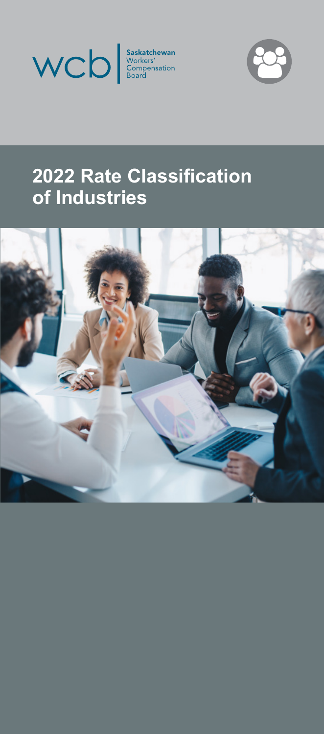



# **2022 Rate Classification of Industries**

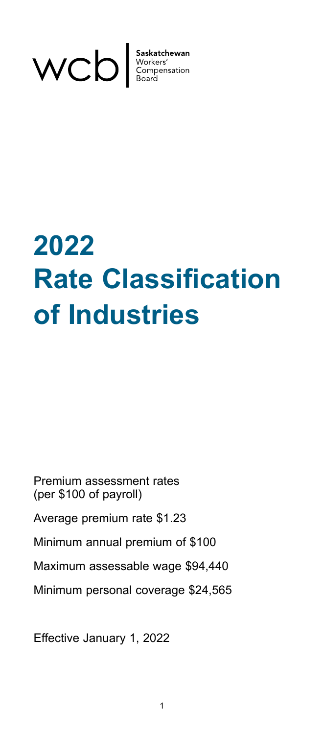

# **2022 Rate Classification of Industries**

Premium assessment rates (per \$100 of payroll) Average premium rate \$1.23 Minimum annual premium of \$100 Maximum assessable wage \$94,440 Minimum personal coverage \$24,565

Effective January 1, 2022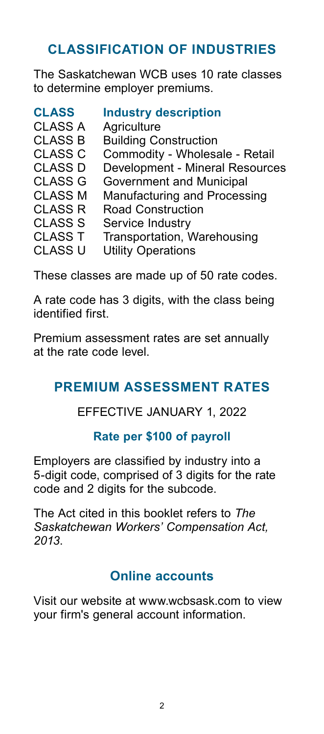### **CLASSIFICATION OF INDUSTRIES**

The Saskatchewan WCB uses 10 rate classes to determine employer premiums.

| <b>Industry description</b>     |
|---------------------------------|
| Agriculture                     |
| <b>Building Construction</b>    |
| Commodity - Wholesale - Retail  |
| Development - Mineral Resources |
| Government and Municipal        |
| Manufacturing and Processing    |
| <b>Road Construction</b>        |
| Service Industry                |
| Transportation, Warehousing     |
| <b>Utility Operations</b>       |
|                                 |

These classes are made up of 50 rate codes.

A rate code has 3 digits, with the class being identified first.

Premium assessment rates are set annually at the rate code level.

### **PREMIUM ASSESSMENT RATES**

### EFFECTIVE JANUARY 1, 2022

### **Rate per \$100 of payroll**

Employers are classified by industry into a 5-digit code, comprised of 3 digits for the rate code and 2 digits for the subcode.

The Act cited in this booklet refers to *The Saskatchewan Workers' Compensation Act, 2013*.

### **Online accounts**

Visit our website at www.wcbsask.com to view your firm's general account information.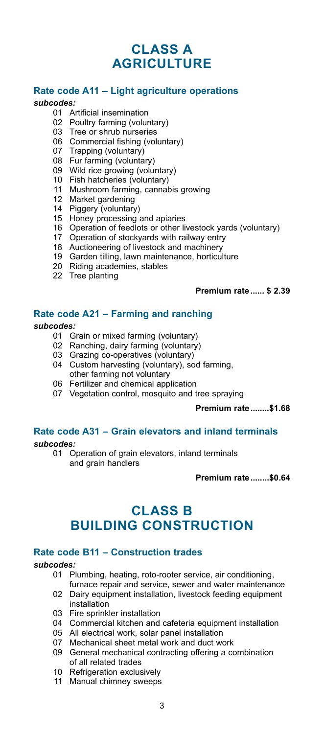### **CLASS A AGRICULTURE**

### **Rate code A11 – Light agriculture operations**

#### *subcodes:*

- Artificial insemination
- Poultry farming (voluntary)
- Tree or shrub nurseries
- Commercial fishing (voluntary)
- Trapping (voluntary)
- Fur farming (voluntary)
- Wild rice growing (voluntary)
- 10 Fish hatcheries (voluntary)
- Mushroom farming, cannabis growing
- Market gardening
- Piggery (voluntary)
- Honey processing and apiaries
- Operation of feedlots or other livestock yards (voluntary)
- Operation of stockyards with railway entry
- Auctioneering of livestock and machinery
- Garden tilling, lawn maintenance, horticulture
- Riding academies, stables
- Tree planting

### **Premium rate...... \$ 2.39**

### **Rate code A21 – Farming and ranching**

#### *subcodes:*

- Grain or mixed farming (voluntary)
- Ranching, dairy farming (voluntary)
- Grazing co-operatives (voluntary)
- Custom harvesting (voluntary), sod farming,
	- other farming not voluntary
- Fertilizer and chemical application
- Vegetation control, mosquito and tree spraying

**Premium rate........\$1.68**

## **Rate code A31 – Grain elevators and inland terminals**

*subcodes:*

 Operation of grain elevators, inland terminals and grain handlers

**Premium rate........\$0.64**

### **CLASS B BUILDING CONSTRUCTION**

### **Rate code B11 – Construction trades**

- Plumbing, heating, roto-rooter service, air conditioning, furnace repair and service, sewer and water maintenance
- Dairy equipment installation, livestock feeding equipment installation
- Fire sprinkler installation
- Commercial kitchen and cafeteria equipment installation
- All electrical work, solar panel installation
- Mechanical sheet metal work and duct work
- General mechanical contracting offering a combination of all related trades
- Refrigeration exclusively
- Manual chimney sweeps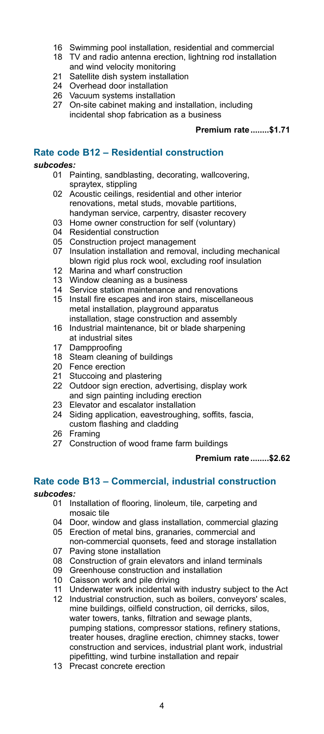- 16 Swimming pool installation, residential and commercial
- 18 TV and radio antenna erection, lightning rod installation and wind velocity monitoring
- 21 Satellite dish system installation
- 24 Overhead door installation
- 26 Vacuum systems installation
- 27 On-site cabinet making and installation, including incidental shop fabrication as a business

#### **Premium rate........\$1.71**

### **Rate code B12 – Residential construction**

#### *subcodes:*

- 01 Painting, sandblasting, decorating, wallcovering, spraytex, stippling
- 02 Acoustic ceilings, residential and other interior renovations, metal studs, movable partitions, handyman service, carpentry, disaster recovery
- 03 Home owner construction for self (voluntary)
- 04 Residential construction
- 05 Construction project management
- 07 Insulation installation and removal, including mechanical blown rigid plus rock wool, excluding roof insulation
- 12 Marina and wharf construction
- 13 Window cleaning as a business
- 14 Service station maintenance and renovations
- 15 Install fire escapes and iron stairs, miscellaneous metal installation, playground apparatus installation, stage construction and assembly
- 16 Industrial maintenance, bit or blade sharpening at industrial sites<br>17 Dampproofing
- Dampproofing
- 18 Steam cleaning of buildings
- 20 Fence erection<br>21 Stuccoing and
- Stuccoing and plastering
- 22 Outdoor sign erection, advertising, display work and sign painting including erection
- 23 Elevator and escalator installation
- 24 Siding application, eavestroughing, soffits, fascia, custom flashing and cladding
- 26 Framing
- 27 Construction of wood frame farm buildings

**Premium rate........\$2.62**

# **Rate code B13 – Commercial, industrial construction**

- 01 Installation of flooring, linoleum, tile, carpeting and mosaic tile
- 04 Door, window and glass installation, commercial glazing
- 05 Erection of metal bins, granaries, commercial and
- non-commercial quonsets, feed and storage installation 07 Paving stone installation
- 08 Construction of grain elevators and inland terminals
- 09 Greenhouse construction and installation
- 10 Caisson work and pile driving
- 11 Underwater work incidental with industry subject to the Act
- 12 Industrial construction, such as boilers, conveyors' scales, mine buildings, oilfield construction, oil derricks, silos, water towers, tanks, filtration and sewage plants, pumping stations, compressor stations, refinery stations, treater houses, dragline erection, chimney stacks, tower construction and services, industrial plant work, industrial pipefitting, wind turbine installation and repair
- 13 Precast concrete erection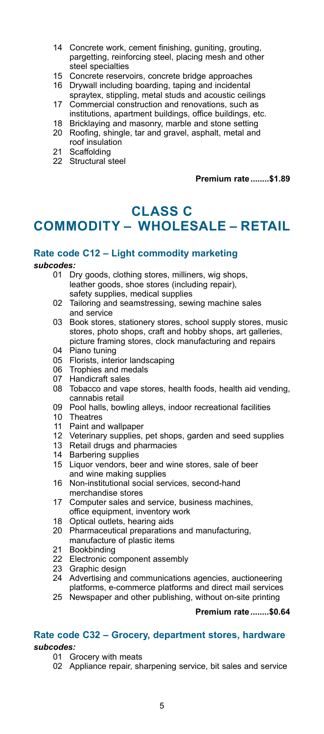- 14 Concrete work, cement finishing, guniting, grouting, pargetting, reinforcing steel, placing mesh and other steel specialties<br>15 Concrete reserv
- Concrete reservoirs, concrete bridge approaches
- 16 Drywall including boarding, taping and incidental spraytex, stippling, metal studs and acoustic ceilings
- 17 Commercial construction and renovations, such as institutions, apartment buildings, office buildings, etc.
- 18 Bricklaying and masonry, marble and stone setting
- 20 Roofing, shingle, tar and gravel, asphalt, metal and roof insulation
- 21 Scaffolding
- 22 Structural steel

**Premium rate........\$1.89**

### **CLASS C COMMODITY – WHOLESALE – RETAIL**

### **Rate code C12 – Light commodity marketing**

### *subcodes:*

- Dry goods, clothing stores, milliners, wig shops, leather goods, shoe stores (including repair), safety supplies, medical supplies<br>02 Tailoring and seamstressing sew
- Tailoring and seamstressing, sewing machine sales and service
- 03 Book stores, stationery stores, school supply stores, music stores, photo shops, craft and hobby shops, art galleries, picture framing stores, clock manufacturing and repairs
- 04 Piano tuning
- 05 Florists, interior landscaping<br>06 Trophies and medals
- Trophies and medals
- 07 Handicraft sales
- 08 Tobacco and vape stores, health foods, health aid vending, cannabis retail<br>Ann Pool halls how
- Pool halls, bowling alleys, indoor recreational facilities
- 10 Theatres<br>11 Paint and
- Paint and wallpaper
- Veterinary supplies, pet shops, garden and seed supplies 12 Veterinary supplies, pet shop<br>13 Retail drugs and pharmacies
- 
- 14 Barbering supplies
- 15 Liquor vendors, beer and wine stores, sale of beer and wine making supplies
- 16 Non-institutional social services, second-hand merchandise stores
- 17 Computer sales and service, business machines, office equipment, inventory work
- 18 Optical outlets, hearing aids
- 20 Pharmaceutical preparations and manufacturing, manufacture of plastic items
- 21 Bookbinding
- 22 Electronic component assembly<br>23 Craphic design
- Graphic design
- 24 Advertising and communications agencies, auctioneering platforms, e-commerce platforms and direct mail services
- 25 Newspaper and other publishing, without on-site printing

### **Premium rate........\$0.64**

### **Rate code C32 – Grocery, department stores, hardware**

- 01 Grocery with meats
- 02 Appliance repair, sharpening service, bit sales and service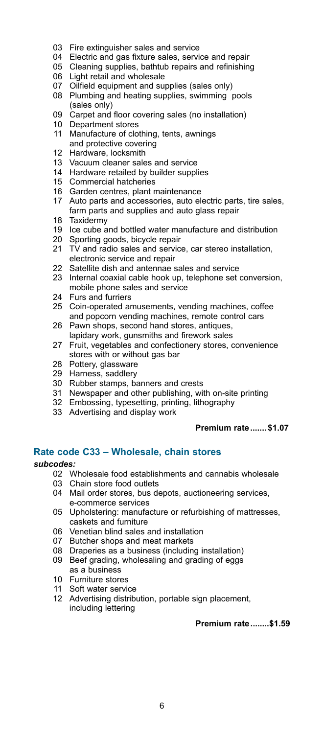- 03 Fire extinguisher sales and service
- 04 Electric and gas fixture sales, service and repair
- 05 Cleaning supplies, bathtub repairs and refinishing
- 06 Light retail and wholesale
- 07 Oilfield equipment and supplies (sales only)
- 08 Plumbing and heating supplies, swimming pools (sales only)<br>09 Carpet and
- Carpet and floor covering sales (no installation)
- 10 Department stores
- 11 Manufacture of clothing, tents, awnings and protective covering
- 12 Hardware, locksmith
- 13 Vacuum cleaner sales and service<br>14 Hardware retailed by builder suppl
- 14 Hardware retailed by builder supplies<br>15 Commercial hatcheries
- 15 Commercial hatcheries<br>16 Garden centres, plant r
- 16 Garden centres, plant maintenance<br>17 Auto parts and accessories, auto el
- Auto parts and accessories, auto electric parts, tire sales, farm parts and supplies and auto glass repair<br>18 Taxidermy
- **Taxidermy**
- 19 Ice cube and bottled water manufacture and distribution
- 20 Sporting goods, bicycle repair
- 21 TV and radio sales and service, car stereo installation, electronic service and repair
- 22 Satellite dish and antennae sales and service
- 23 Internal coaxial cable hook up, telephone set conversion, mobile phone sales and service
- 24 Furs and furriers
- 25 Coin-operated amusements, vending machines, coffee and popcorn vending machines, remote control cars
- 26 Pawn shops, second hand stores, antiques, lapidary work, gunsmiths and firework sales
- 27 Fruit, vegetables and confectionery stores, convenience stores with or without gas bar
- 28 Pottery, glassware
- 29 Harness, saddlery
- 30 Rubber stamps, banners and crests
- 31 Newspaper and other publishing, with on-site printing
- 32 Embossing, typesetting, printing, lithography
- 33 Advertising and display work

### **Premium rate....... \$1.07**

### **Rate code C33 – Wholesale, chain stores**

### *subcodes:*

- 02 Wholesale food establishments and cannabis wholesale<br>03 Chain store food outlets
- Chain store food outlets
- 04 Mail order stores, bus depots, auctioneering services, e-commerce services
- 05 Upholstering: manufacture or refurbishing of mattresses, caskets and furniture
- 06 Venetian blind sales and installation
- 07 Butcher shops and meat markets
- 08 Draperies as a business (including installation)
- 09 Beef grading, wholesaling and grading of eggs as a business
- 10 Furniture stores
- 11 Soft water service
- 12 Advertising distribution, portable sign placement, including lettering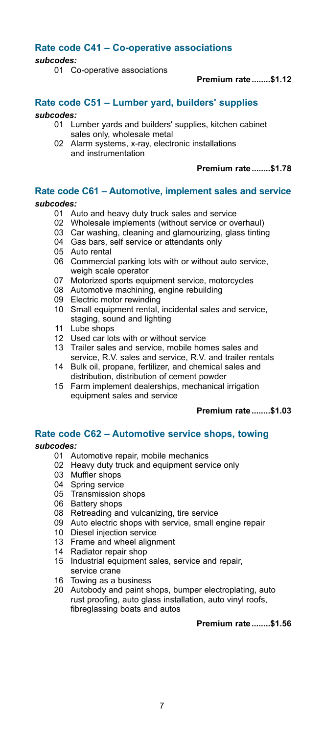### **Rate code C41 – Co-operative associations**

*subcodes:*

01 Co-operative associations

**Premium rate........\$1.12**

### **Rate code C51 – Lumber yard, builders' supplies**

#### *subcodes:*

- 01 Lumber yards and builders' supplies, kitchen cabinet sales only, wholesale metal
- 02 Alarm systems, x-ray, electronic installations and instrumentation

**Premium rate........\$1.78**

### **Rate code C61 – Automotive, implement sales and service**

### *subcodes:*

- 01 Auto and heavy duty truck sales and service
- 02 Wholesale implements (without service or overhaul)
- 03 Car washing, cleaning and glamourizing, glass tinting
- 04 Gas bars, self service or attendants only
- 05 Auto rental
- 06 Commercial parking lots with or without auto service, weigh scale operator
- 07 Motorized sports equipment service, motorcycles
- 08 Automotive machining, engine rebuilding
- 09 Electric motor rewinding
- 10 Small equipment rental, incidental sales and service, staging, sound and lighting<br>11 Lube shops
- Lube shops
- 12 Used car lots with or without service<br>13 Trailer sales and service, mobile hor
- Trailer sales and service, mobile homes sales and service, R.V. sales and service, R.V. and trailer rentals
- 14 Bulk oil, propane, fertilizer, and chemical sales and distribution, distribution of cement powder
- 15 Farm implement dealerships, mechanical irrigation equipment sales and service

**Premium rate........\$1.03**

### **Rate code C62 – Automotive service shops, towing**

### *subcodes:*

- 01 Automotive repair, mobile mechanics
- 02 Heavy duty truck and equipment service only
- 03 Muffler shops
- 04 Spring service<br>05 Transmission
- Transmission shops
- 03 Transmission<br>06 Battery shops
- 08 Retreading and vulcanizing, tire service
- 09 Auto electric shops with service, small engine repair
- 10 Diesel injection service
- 13 Frame and wheel alignment
- 14 Radiator repair shop
- 15 Industrial equipment sales, service and repair, service crane
- 16 Towing as a business
- 20 Autobody and paint shops, bumper electroplating, auto rust proofing, auto glass installation, auto vinyl roofs, fibreglassing boats and autos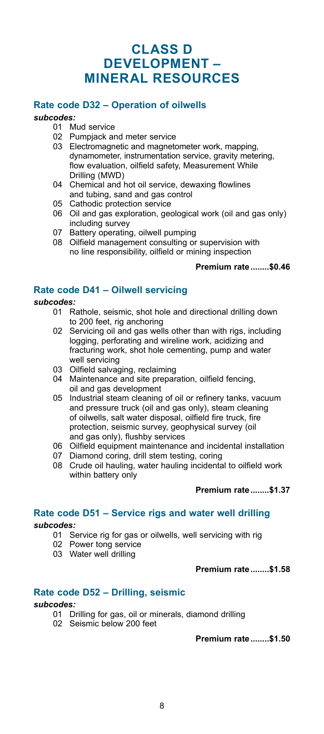### **CLASS D DEVELOPMENT – MINERAL RESOURCES**

### **Rate code D32 – Operation of oilwells**

### *subcodes:*

- Mud service
- 02 Pumpjack and meter service
- 03 Electromagnetic and magnetometer work, mapping, dynamometer, instrumentation service, gravity metering, flow evaluation, oilfield safety, Measurement While Drilling (MWD)
- 04 Chemical and hot oil service, dewaxing flowlines and tubing, sand and gas control
- 05 Cathodic protection service
- 06 Oil and gas exploration, geological work (oil and gas only) including survey
- 07 Battery operating, oilwell pumping
- 08 Oilfield management consulting or supervision with no line responsibility, oilfield or mining inspection

### **Premium rate........\$0.46**

### **Rate code D41 – Oilwell servicing**

### *subcodes:*

- 01 Rathole, seismic, shot hole and directional drilling down to 200 feet, rig anchoring
- 02 Servicing oil and gas wells other than with rigs, including logging, perforating and wireline work, acidizing and fracturing work, shot hole cementing, pump and water well servicing
- 03 Oilfield salvaging, reclaiming
- 04 Maintenance and site preparation, oilfield fencing, oil and gas development
- 05 Industrial steam cleaning of oil or refinery tanks, vacuum and pressure truck (oil and gas only), steam cleaning of oilwells, salt water disposal, oilfield fire truck, fire protection, seismic survey, geophysical survey (oil and gas only), flushby services
- 06 Oilfield equipment maintenance and incidental installation
- 07 Diamond coring, drill stem testing, coring
- 08 Crude oil hauling, water hauling incidental to oilfield work within battery only

### **Premium rate........\$1.37**

### **Rate code D51 – Service rigs and water well drilling**

### *subcodes:*

- 01 Service rig for gas or oilwells, well servicing with rig
- 02 Power tong service
- 03 Water well drilling

### **Premium rate........\$1.58**

### **Rate code D52 – Drilling, seismic**

### *subcodes:*

- 01 Drilling for gas, oil or minerals, diamond drilling
- 02 Seismic below 200 feet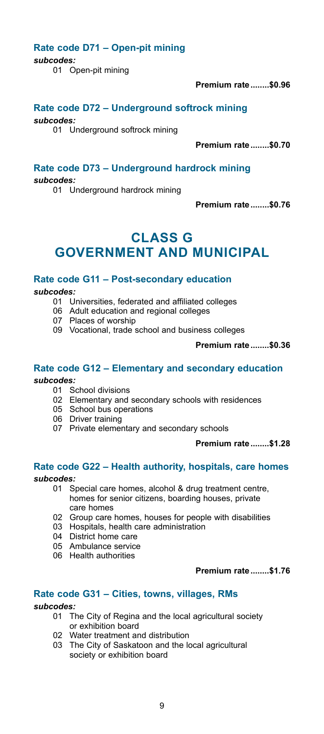### **Rate code D71 – Open-pit mining**

*subcodes:*

01 Open-pit mining

**Premium rate........\$0.96**

### **Rate code D72 – Underground softrock mining**

*subcodes:*

01 Underground softrock mining

**Premium rate........\$0.70**

### **Rate code D73 – Underground hardrock mining**

*subcodes:*

01 Underground hardrock mining

**Premium rate........\$0.76**

### **CLASS G GOVERNMENT AND MUNICIPAL**

### **Rate code G11 – Post-secondary education**

*subcodes:*

- 01 Universities, federated and affiliated colleges
- 06 Adult education and regional colleges
- 07 Places of worship
- 09 Vocational, trade school and business colleges

**Premium rate........\$0.36**

### **Rate code G12 – Elementary and secondary education** *subcodes:*

- 01 School divisions
- 02 Elementary and secondary schools with residences
- 05 School bus operations
- 06 Driver training
- 07 Private elementary and secondary schools

### **Premium rate........\$1.28**

### **Rate code G22 – Health authority, hospitals, care homes**

### *subcodes:*

- 01 Special care homes, alcohol & drug treatment centre, homes for senior citizens, boarding houses, private care homes
- 02 Group care homes, houses for people with disabilities
- 03 Hospitals, health care administration
- 04 District home care
- 05 Ambulance service
- 06 Health authorities

### **Premium rate........\$1.76**

### **Rate code G31 – Cities, towns, villages, RMs**

- The City of Regina and the local agricultural society or exhibition board
- 02 Water treatment and distribution
- 03 The City of Saskatoon and the local agricultural society or exhibition board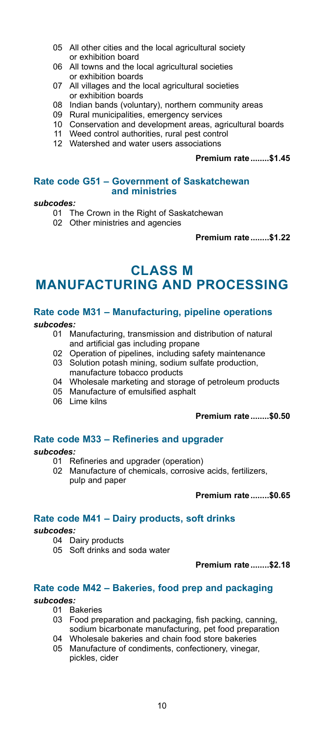- 05 All other cities and the local agricultural society or exhibition board
- 06 All towns and the local agricultural societies or exhibition boards
- 07 All villages and the local agricultural societies or exhibition boards
- 08 Indian bands (voluntary), northern community areas
- 09 Rural municipalities, emergency services
- 10 Conservation and development areas, agricultural boards
- 11 Weed control authorities, rural pest control
- 12 Watershed and water users associations

#### **Premium rate........\$1.45**

### **Rate code G51 – Government of Saskatchewan and ministries**

### *subcodes:*

- 01 The Crown in the Right of Saskatchewan
- 02 Other ministries and agencies

**Premium rate........\$1.22**

### **CLASS M MANUFACTURING AND PROCESSING**

### **Rate code M31 – Manufacturing, pipeline operations**

*subcodes:*

- 01 Manufacturing, transmission and distribution of natural and artificial gas including propane
- 02 Operation of pipelines, including safety maintenance
- 03 Solution potash mining, sodium sulfate production, manufacture tobacco products
- 04 Wholesale marketing and storage of petroleum products<br>05 Manufacture of emulsified asphalt
- Manufacture of emulsified asphalt
- 06 Lime kilns

#### **Premium rate........\$0.50**

### **Rate code M33 – Refineries and upgrader**

### *subcodes:*

- 01 Refineries and upgrader (operation)
- 02 Manufacture of chemicals, corrosive acids, fertilizers, pulp and paper

**Premium rate........\$0.65**

### **Rate code M41 – Dairy products, soft drinks**

#### *subcodes:*

- 04 Dairy products
- 05 Soft drinks and soda water

**Premium rate........\$2.18**

### **Rate code M42 – Bakeries, food prep and packaging**

- 01 Bakeries
- 03 Food preparation and packaging, fish packing, canning, sodium bicarbonate manufacturing, pet food preparation
- 04 Wholesale bakeries and chain food store bakeries
- 05 Manufacture of condiments, confectionery, vinegar, pickles, cider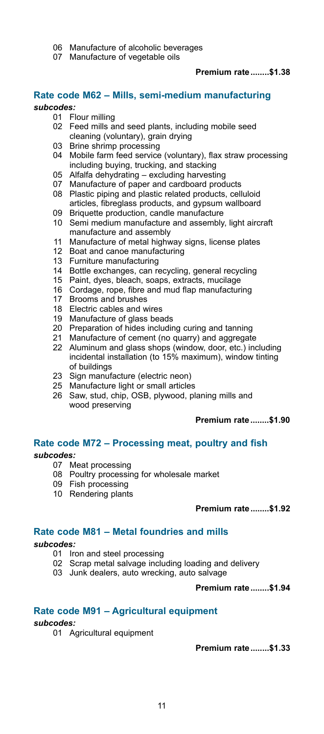- 06 Manufacture of alcoholic beverages
- 07 Manufacture of vegetable oils

### **Premium rate........\$1.38**

### **Rate code M62 – Mills, semi-medium manufacturing**

### *subcodes:*

- Flour milling
	- 02 Feed mills and seed plants, including mobile seed cleaning (voluntary), grain drying
	- 03 Brine shrimp processing
	- 04 Mobile farm feed service (voluntary), flax straw processing including buying, trucking, and stacking
	- 05 Alfalfa dehydrating excluding harvesting
	- 07 Manufacture of paper and cardboard products
	- 08 Plastic piping and plastic related products, celluloid articles, fibreglass products, and gypsum wallboard
- 09 Briquette production, candle manufacture
- 10 Semi medium manufacture and assembly, light aircraft manufacture and assembly
- 11 Manufacture of metal highway signs, license plates
- 12 Boat and canoe manufacturing
- 13 Furniture manufacturing
- 14 Bottle exchanges, can recycling, general recycling
- 15 Paint, dyes, bleach, soaps, extracts, mucilage
- 16 Cordage, rope, fibre and mud flap manufacturing
- Brooms and brushes
- 18 Electric cables and wires
- 19 Manufacture of glass beads
- 20 Preparation of hides including curing and tanning
- 21 Manufacture of cement (no quarry) and aggregate<br>22 Aluminum and glass shops (window door etc.) in
- Aluminum and glass shops (window, door, etc.) including incidental installation (to 15% maximum), window tinting of buildings
- 23 Sign manufacture (electric neon)
- 25 Manufacture light or small articles
- 26 Saw, stud, chip, OSB, plywood, planing mills and wood preserving

### **Premium rate........\$1.90**

### **Rate code M72 – Processing meat, poultry and fish**

#### *subcodes:*

- 07 Meat processing
- 08 Poultry processing for wholesale market
- 09 Fish processing
- 10 Rendering plants

**Premium rate........\$1.92**

### **Rate code M81 – Metal foundries and mills**

### *subcodes:*

- 01 Iron and steel processing
- 02 Scrap metal salvage including loading and delivery
- 03 Junk dealers, auto wrecking, auto salvage

#### **Premium rate........\$1.94**

### **Rate code M91 – Agricultural equipment**

### *subcodes:*

01 Agricultural equipment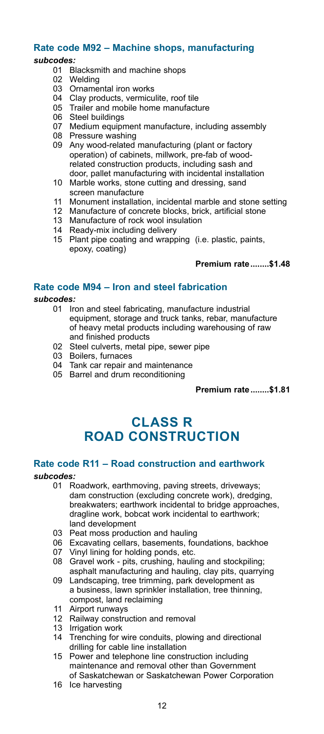### **Rate code M92 – Machine shops, manufacturing**

### *subcodes:*

- Blacksmith and machine shops
- 02 Welding<br>03 Ornamer
- Ornamental iron works
- 04 Clay products, vermiculite, roof tile<br>05 Trailer and mobile home manufactu
- Trailer and mobile home manufacture
- 06 Steel buildings
- 07 Medium equipment manufacture, including assembly
- 08 Pressure washing
- 09 Any wood-related manufacturing (plant or factory operation) of cabinets, millwork, pre-fab of wood related construction products, including sash and door, pallet manufacturing with incidental installation
- 10 Marble works, stone cutting and dressing, sand screen manufacture
- 11 Monument installation, incidental marble and stone setting
- 12 Manufacture of concrete blocks, brick, artificial stone
- 13 Manufacture of rock wool insulation 14 Ready-mix including delivery
- 
- 15 Plant pipe coating and wrapping (i.e. plastic, paints, epoxy, coating)

#### **Premium rate........\$1.48**

### **Rate code M94 – Iron and steel fabrication**

### *subcodes:*

- 01 Iron and steel fabricating, manufacture industrial equipment, storage and truck tanks, rebar, manufacture of heavy metal products including warehousing of raw and finished products
- 02 Steel culverts, metal pipe, sewer pipe
- 03 Boilers, furnaces
- 04 Tank car repair and maintenance
- 05 Barrel and drum reconditioning

**Premium rate........\$1.81**

### **CLASS R ROAD CONSTRUCTION**

### **Rate code R11 – Road construction and earthwork**

- 01 Roadwork, earthmoving, paving streets, driveways; dam construction (excluding concrete work), dredging, breakwaters; earthwork incidental to bridge approaches. dragline work, bobcat work incidental to earthwork; land development
- 03 Peat moss production and hauling
- 06 Excavating cellars, basements, foundations, backhoe<br>07 Vinyl lining for holding ponds, etc.
- Vinyl lining for holding ponds, etc.
- 08 Gravel work pits, crushing, hauling and stockpiling; asphalt manufacturing and hauling, clay pits, quarrying
- 09 Landscaping, tree trimming, park development as a business, lawn sprinkler installation, tree thinning, compost, land reclaiming<br>11 Airport runways
- Airport runways
- 12 Railway construction and removal<br>13 Irrigation work
- Irrigation work
- 14 Trenching for wire conduits, plowing and directional drilling for cable line installation<br>15 Power and telephone line const
- Power and telephone line construction including maintenance and removal other than Government of Saskatchewan or Saskatchewan Power Corporation
- 16 Ice harvesting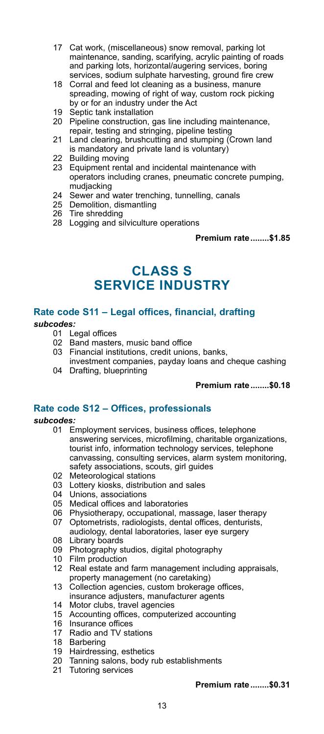- 17 Cat work, (miscellaneous) snow removal, parking lot maintenance, sanding, scarifying, acrylic painting of roads and parking lots, horizontal/augering services, boring services, sodium sulphate harvesting, ground fire crew
- 18 Corral and feed lot cleaning as a business, manure spreading, mowing of right of way, custom rock picking by or for an industry under the Act
- 19 Septic tank installation
- 20 Pipeline construction, gas line including maintenance, repair, testing and stringing, pipeline testing
- 21 Land clearing, brushcutting and stumping (Crown land is mandatory and private land is voluntary)
- 22 Building moving
- 23 Equipment rental and incidental maintenance with operators including cranes, pneumatic concrete pumping, mudjacking
- 24 Sewer and water trenching, tunnelling, canals
- 25 Demolition, dismantling
- 26 Tire shredding
- 28 Logging and silviculture operations

**Premium rate........\$1.85**

### **CLASS S SERVICE INDUSTRY**

### **Rate code S11 – Legal offices, financial, drafting**

### *subcodes:*

- 01 Legal offices<br>02 Band master
- Band masters, music band office
- 03 Financial institutions, credit unions, banks, investment companies, payday loans and cheque cashing
- 04 Drafting, blueprinting

### **Premium rate........\$0.18**

### **Rate code S12 – Offices, professionals**

### *subcodes:*

- 01 Employment services, business offices, telephone answering services, microfilming, charitable organizations, tourist info, information technology services, telephone canvassing, consulting services, alarm system monitoring, safety associations, scouts, girl guides
- 02 Meteorological stations
- 03 Lottery kiosks, distribution and sales
- 04 Unions, associations
- 05 Medical offices and laboratories
- 06 Physiotherapy, occupational, massage, laser therapy
- 07 Optometrists, radiologists, dental offices, denturists, audiology, dental laboratories, laser eye surgery
- 08 Library boards
- 09 Photography studios, digital photography
- 10 Film production
- 12 Real estate and farm management including appraisals, property management (no caretaking)
- 13 Collection agencies, custom brokerage offices, insurance adjusters, manufacturer agents
- 14 Motor clubs, travel agencies
- 15 Accounting offices, computerized accounting
- 16 Insurance offices
- 17 Radio and TV stations
- 18 Barbering
- 
- 19 Hairdressing, esthetics 20 Tanning salons, body rub establishments 21 Tutoring services
-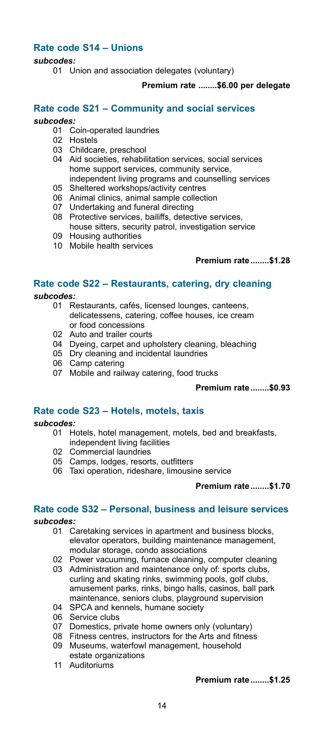### **Rate code S14 – Unions**

### *subcodes:*

01 Union and association delegates (voluntary)

### **Premium rate ........\$6.00 per delegate**

### **Rate code S21 – Community and social services**

#### *subcodes:*

- 01 Coin-operated laundries
- 02 Hostels
- 03 Childcare, preschool
- 04 Aid societies, rehabilitation services, social services home support services, community service,
- independent living programs and counselling services
- Sheltered workshops/activity centres
- 06 Animal clinics, animal sample collection
- 07 Undertaking and funeral directing
- 08 Protective services, bailiffs, detective services, house sitters, security patrol, investigation service
- 09 Housing authorities
- 10 Mobile health services

### **Premium rate........\$1.28**

### **Rate code S22 – Restaurants, catering, dry cleaning**

subcodes:<br>01 R

- Restaurants, cafés, licensed lounges, canteens, delicatessens, catering, coffee houses, ice cream or food concessions
- 02 Auto and trailer courts
- 04 Dyeing, carpet and upholstery cleaning, bleaching
- 05 Dry cleaning and incidental laundries
- 06 Camp catering
- 07 Mobile and railway catering, food trucks

### **Premium rate........\$0.93**

### **Rate code S23 – Hotels, motels, taxis**

#### *subcodes:*

- 01 Hotels, hotel management, motels, bed and breakfasts, independent living facilities
- 02 Commercial laundries
- 05 Camps, lodges, resorts, outfitters
- 06 Taxi operation, rideshare, limousine service

#### **Premium rate........\$1.70**

# **Rate code S32 – Personal, business and leisure services**

- *subcodes:*
	- Caretaking services in apartment and business blocks, elevator operators, building maintenance management, modular storage, condo associations
	- 02 Power vacuuming, furnace cleaning, computer cleaning
	- 03 Administration and maintenance only of: sports clubs, curling and skating rinks, swimming pools, golf clubs, amusement parks, rinks, bingo halls, casinos, ball park maintenance, seniors clubs, playground supervision<br>04 SPCA and kennels, bumane society
	- SPCA and kennels, humane society
	- 06 Service clubs<br>07 Domestics pr
	- 07 Domestics, private home owners only (voluntary)<br>08 Fitness centres, instructors for the Arts and fitnes
	- Fitness centres, instructors for the Arts and fitness
	- 09 Museums, waterfowl management, household estate organizations
	- 11 Auditoriums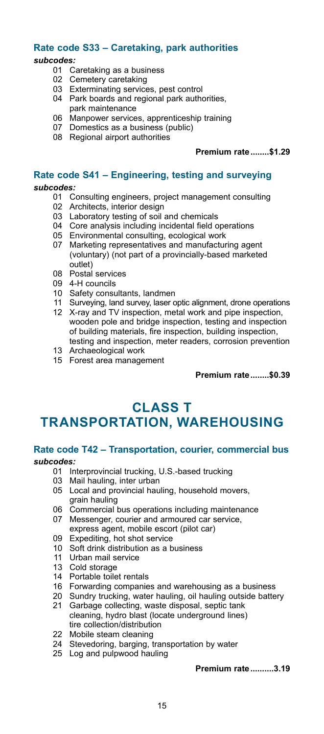# **Rate code S33 – Caretaking, park authorities**

*subcodes:*

- Caretaking as a business
- 02 Cemetery caretaking
- 03 Exterminating services, pest control
- 04 Park boards and regional park authorities, park maintenance
- 06 Manpower services, apprenticeship training
- 07 Domestics as a business (public)
- 08 Regional airport authorities

**Premium rate........\$1.29**

### **Rate code S41 – Engineering, testing and surveying**

### *subcodes:*

- 01 Consulting engineers, project management consulting
- 02 Architects, interior design
- 03 Laboratory testing of soil and chemicals<br>04 Core analysis including incidental field of
- Core analysis including incidental field operations
- 05 Environmental consulting, ecological work
- 07 Marketing representatives and manufacturing agent (voluntary) (not part of a provincially-based marketed outlet)
- 08 Postal services
- 09 4-H councils
- 10 Safety consultants, landmen
- 11 Surveying, land survey, laser optic alignment, drone operations
- 12 X-ray and TV inspection, metal work and pipe inspection, wooden pole and bridge inspection, testing and inspection of building materials, fire inspection, building inspection, testing and inspection, meter readers, corrosion prevention
- 13 Archaeological work
- 15 Forest area management

**Premium rate........\$0.39**

### **CLASS T TRANSPORTATION, WAREHOUSING**

# **Rate code T42 – Transportation, courier, commercial bus**

### *subcodes:*

- 01 Interprovincial trucking, U.S.-based trucking
- 03 Mail hauling, inter urban
- 05 Local and provincial hauling, household movers, grain hauling
- 06 Commercial bus operations including maintenance
- 07 Messenger, courier and armoured car service, express agent, mobile escort (pilot car)
- 09 Expediting, hot shot service<br>10 Soft drink distribution as a b
- Soft drink distribution as a business
- 11 Urban mail service
- 13 Cold storage
- 14 Portable toilet rentals
- 16 Forwarding companies and warehousing as a business
- 20 Sundry trucking, water hauling, oil hauling outside battery
- 21 Garbage collecting, waste disposal, septic tank cleaning, hydro blast (locate underground lines) tire collection/distribution
- 22 Mobile steam cleaning
- 24 Stevedoring, barging, transportation by water
- 25 Log and pulpwood hauling

**Premium rate..........3.19**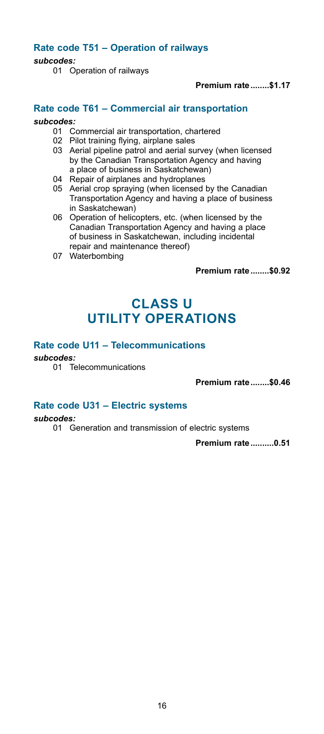### **Rate code T51 – Operation of railways**

### *subcodes:*

01 Operation of railways

**Premium rate........\$1.17**

### **Rate code T61 – Commercial air transportation**

#### *subcodes:*

- 01 Commercial air transportation, chartered
- 02 Pilot training flying, airplane sales
- 03 Aerial pipeline patrol and aerial survey (when licensed by the Canadian Transportation Agency and having a place of business in Saskatchewan)
- 04 Repair of airplanes and hydroplanes
- 05 Aerial crop spraying (when licensed by the Canadian Transportation Agency and having a place of business in Saskatchewan)
- 06 Operation of helicopters, etc. (when licensed by the Canadian Transportation Agency and having a place of business in Saskatchewan, including incidental repair and maintenance thereof)
- 07 Waterbombing

**Premium rate........\$0.92**

### **CLASS U UTILITY OPERATIONS**

### **Rate code U11 – Telecommunications**

*subcodes:*

01 Telecommunications

**Premium rate........\$0.46**

### **Rate code U31 – Electric systems**

*subcodes:*

01 Generation and transmission of electric systems

**Premium rate..........0.51**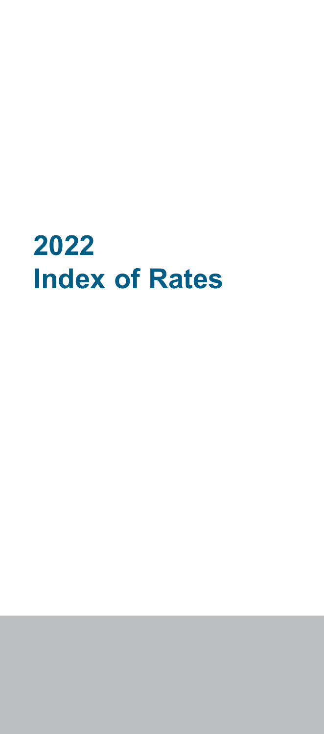# **2022 Index of Rates**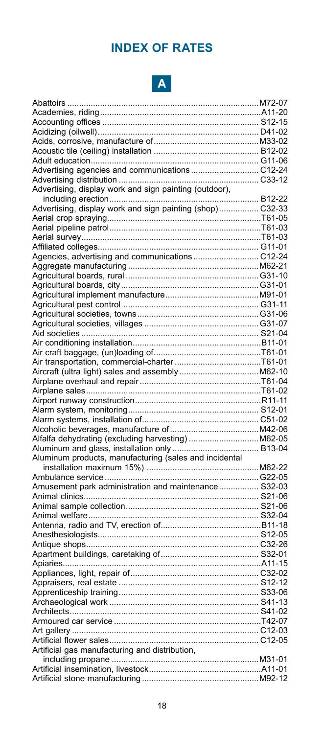### **INDEX OF RATES**



| Advertising agencies and communications C12-24                |  |
|---------------------------------------------------------------|--|
|                                                               |  |
| Advertising, display work and sign painting (outdoor),        |  |
|                                                               |  |
| Advertising, display work and sign painting (shop) C32-33     |  |
|                                                               |  |
|                                                               |  |
|                                                               |  |
|                                                               |  |
|                                                               |  |
|                                                               |  |
|                                                               |  |
|                                                               |  |
|                                                               |  |
|                                                               |  |
|                                                               |  |
|                                                               |  |
|                                                               |  |
|                                                               |  |
|                                                               |  |
|                                                               |  |
|                                                               |  |
|                                                               |  |
|                                                               |  |
|                                                               |  |
|                                                               |  |
|                                                               |  |
|                                                               |  |
| --------<br>Alfalfa dehydrating (excluding harvesting) M62-05 |  |
|                                                               |  |
| Aluminum products, manufacturing (sales and incidental        |  |
|                                                               |  |
|                                                               |  |
| Amusement park administration and maintenance S32-03          |  |
|                                                               |  |
|                                                               |  |
|                                                               |  |
|                                                               |  |
|                                                               |  |
|                                                               |  |
|                                                               |  |
|                                                               |  |
|                                                               |  |
|                                                               |  |
|                                                               |  |
|                                                               |  |
|                                                               |  |
|                                                               |  |
|                                                               |  |
|                                                               |  |
| Artificial gas manufacturing and distribution,                |  |
|                                                               |  |
|                                                               |  |
|                                                               |  |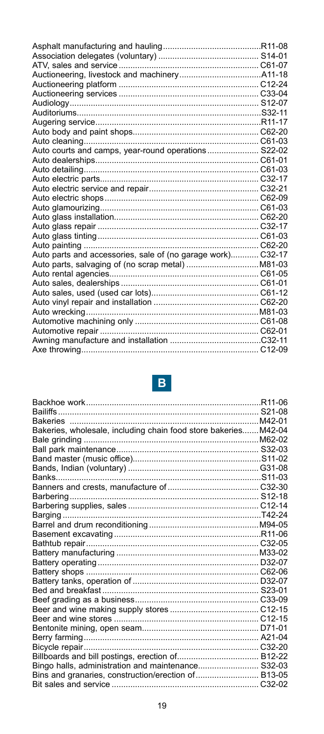| Auto courts and camps, year-round operations S22-02         |  |
|-------------------------------------------------------------|--|
|                                                             |  |
|                                                             |  |
|                                                             |  |
|                                                             |  |
|                                                             |  |
|                                                             |  |
|                                                             |  |
|                                                             |  |
|                                                             |  |
|                                                             |  |
| Auto parts and accessories, sale of (no garage work) C32-17 |  |
|                                                             |  |
|                                                             |  |
|                                                             |  |
|                                                             |  |
|                                                             |  |
|                                                             |  |
|                                                             |  |
|                                                             |  |
|                                                             |  |
|                                                             |  |

# $\vert \mathbf{B} \vert$

| Bakeries, wholesale, including chain food store bakeries M42-04 |  |
|-----------------------------------------------------------------|--|
|                                                                 |  |
|                                                                 |  |
|                                                                 |  |
|                                                                 |  |
|                                                                 |  |
|                                                                 |  |
|                                                                 |  |
|                                                                 |  |
|                                                                 |  |
|                                                                 |  |
|                                                                 |  |
|                                                                 |  |
|                                                                 |  |
|                                                                 |  |
|                                                                 |  |
|                                                                 |  |
|                                                                 |  |
|                                                                 |  |
|                                                                 |  |
|                                                                 |  |
|                                                                 |  |
|                                                                 |  |
|                                                                 |  |
|                                                                 |  |
| Bingo halls, administration and maintenance S32-03              |  |
| Bins and granaries, construction/erection of B13-05             |  |
|                                                                 |  |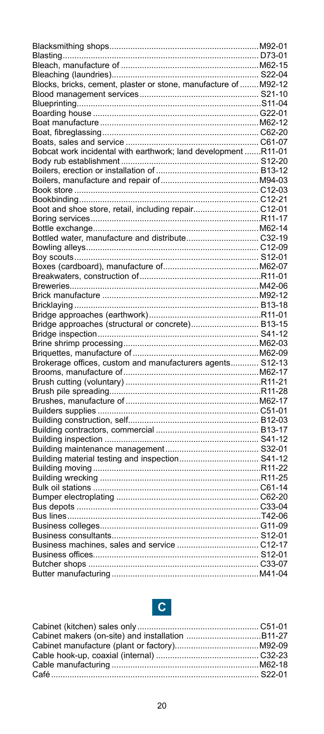| Blocks, bricks, cement, plaster or stone, manufacture of M92-12 |  |
|-----------------------------------------------------------------|--|
|                                                                 |  |
|                                                                 |  |
|                                                                 |  |
|                                                                 |  |
|                                                                 |  |
|                                                                 |  |
| Bobcat work incidental with earthwork; land development R11-01  |  |
|                                                                 |  |
|                                                                 |  |
|                                                                 |  |
|                                                                 |  |
|                                                                 |  |
|                                                                 |  |
| Boot and shoe store, retail, including repair C12-01            |  |
|                                                                 |  |
|                                                                 |  |
| Bottled water, manufacture and distribute C32-19                |  |
|                                                                 |  |
|                                                                 |  |
|                                                                 |  |
|                                                                 |  |
|                                                                 |  |
|                                                                 |  |
|                                                                 |  |
|                                                                 |  |
| Bridge approaches (structural or concrete) B13-15               |  |
|                                                                 |  |
|                                                                 |  |
|                                                                 |  |
| Brokerage offices, custom and manufacturers agents S12-13       |  |
|                                                                 |  |
|                                                                 |  |
|                                                                 |  |
|                                                                 |  |
|                                                                 |  |
|                                                                 |  |
|                                                                 |  |
|                                                                 |  |
|                                                                 |  |
|                                                                 |  |
|                                                                 |  |
|                                                                 |  |
|                                                                 |  |
|                                                                 |  |
|                                                                 |  |
|                                                                 |  |
|                                                                 |  |
|                                                                 |  |
|                                                                 |  |
|                                                                 |  |
|                                                                 |  |
|                                                                 |  |
|                                                                 |  |
|                                                                 |  |

# **C**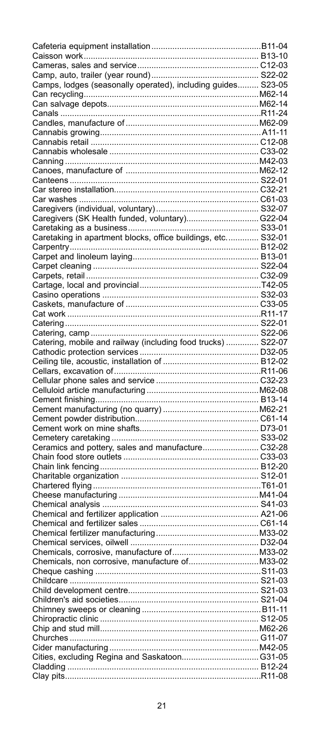| Camps, lodges (seasonally operated), including guides S23-05 |    |
|--------------------------------------------------------------|----|
|                                                              |    |
|                                                              |    |
|                                                              |    |
|                                                              |    |
|                                                              |    |
|                                                              |    |
|                                                              |    |
|                                                              |    |
|                                                              |    |
|                                                              |    |
|                                                              |    |
|                                                              |    |
|                                                              |    |
|                                                              |    |
| Caregivers (SK Health funded, voluntary) G22-04              |    |
|                                                              |    |
| Caretaking in apartment blocks, office buildings, etc S32-01 |    |
|                                                              |    |
|                                                              |    |
|                                                              |    |
|                                                              |    |
|                                                              |    |
|                                                              |    |
|                                                              |    |
|                                                              |    |
|                                                              |    |
|                                                              |    |
| Catering, mobile and railway (including food trucks)  S22-07 |    |
|                                                              |    |
|                                                              |    |
|                                                              |    |
|                                                              |    |
|                                                              |    |
|                                                              |    |
|                                                              |    |
|                                                              |    |
|                                                              |    |
|                                                              |    |
| Ceramics and pottery, sales and manufacture C32-28           |    |
|                                                              |    |
|                                                              |    |
|                                                              |    |
|                                                              |    |
|                                                              |    |
|                                                              |    |
|                                                              |    |
|                                                              |    |
|                                                              |    |
|                                                              |    |
|                                                              |    |
|                                                              |    |
|                                                              |    |
|                                                              |    |
|                                                              | OЗ |
|                                                              |    |
|                                                              |    |
|                                                              |    |
|                                                              |    |
|                                                              |    |
|                                                              |    |
|                                                              |    |
|                                                              |    |
|                                                              |    |
|                                                              |    |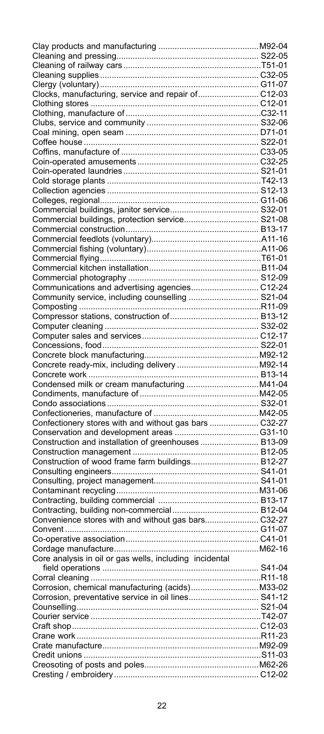| Clocks, manufacturing, service and repair of C12-03     |  |
|---------------------------------------------------------|--|
|                                                         |  |
|                                                         |  |
|                                                         |  |
|                                                         |  |
|                                                         |  |
|                                                         |  |
|                                                         |  |
|                                                         |  |
|                                                         |  |
|                                                         |  |
|                                                         |  |
|                                                         |  |
| Commercial buildings, protection service S21-08         |  |
|                                                         |  |
|                                                         |  |
|                                                         |  |
|                                                         |  |
|                                                         |  |
| Communications and advertising agencies C12-24          |  |
| Community service, including counselling  S21-04        |  |
|                                                         |  |
|                                                         |  |
|                                                         |  |
|                                                         |  |
|                                                         |  |
|                                                         |  |
|                                                         |  |
|                                                         |  |
|                                                         |  |
|                                                         |  |
|                                                         |  |
| Confectionery stores with and without gas bars  C32-27  |  |
|                                                         |  |
| Construction and installation of greenhouses B13-09     |  |
|                                                         |  |
| Construction of wood frame farm buildings B12-27        |  |
|                                                         |  |
|                                                         |  |
|                                                         |  |
|                                                         |  |
|                                                         |  |
|                                                         |  |
|                                                         |  |
|                                                         |  |
| Core analysis in oil or gas wells, including incidental |  |
|                                                         |  |
| Corral cleaning                                         |  |
|                                                         |  |
| Corrosion, preventative service in oil lines S41-12     |  |
|                                                         |  |
|                                                         |  |
|                                                         |  |
|                                                         |  |
|                                                         |  |
|                                                         |  |
|                                                         |  |
|                                                         |  |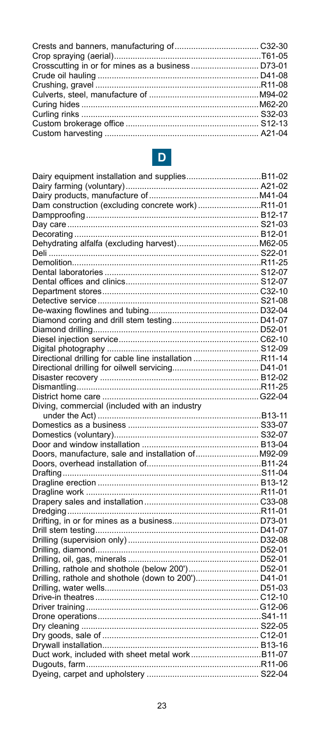# $\vert D \vert$

| Dam construction (excluding concrete work)R11-01        |  |
|---------------------------------------------------------|--|
|                                                         |  |
|                                                         |  |
|                                                         |  |
|                                                         |  |
|                                                         |  |
|                                                         |  |
|                                                         |  |
|                                                         |  |
|                                                         |  |
|                                                         |  |
|                                                         |  |
|                                                         |  |
|                                                         |  |
|                                                         |  |
|                                                         |  |
| Directional drilling for cable line installation R11-14 |  |
|                                                         |  |
|                                                         |  |
|                                                         |  |
|                                                         |  |
| Diving, commercial (included with an industry           |  |
|                                                         |  |
|                                                         |  |
|                                                         |  |
|                                                         |  |
| Doors, manufacture, sale and installation of M92-09     |  |
|                                                         |  |
|                                                         |  |
|                                                         |  |
|                                                         |  |
|                                                         |  |
|                                                         |  |
|                                                         |  |
|                                                         |  |
|                                                         |  |
|                                                         |  |
|                                                         |  |
| Drilling, rathole and shothole (below 200') D52-01      |  |
|                                                         |  |
|                                                         |  |
|                                                         |  |
|                                                         |  |
|                                                         |  |
|                                                         |  |
|                                                         |  |
|                                                         |  |
|                                                         |  |
|                                                         |  |
|                                                         |  |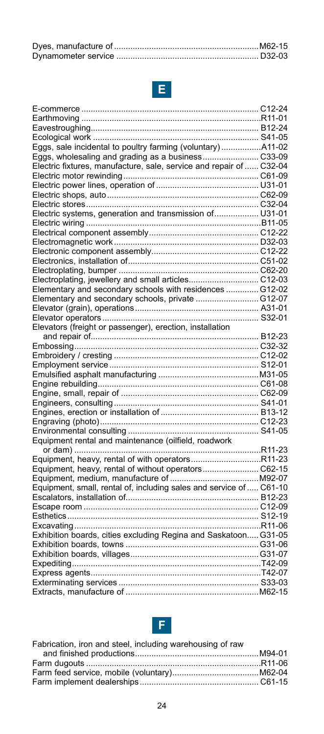# **E**

| Eggs, sale incidental to poultry farming (voluntary) A11-02         |  |
|---------------------------------------------------------------------|--|
|                                                                     |  |
| Electric fixtures, manufacture, sale, service and repair of  C32-04 |  |
|                                                                     |  |
|                                                                     |  |
|                                                                     |  |
|                                                                     |  |
| Electric systems, generation and transmission of U31-01             |  |
|                                                                     |  |
|                                                                     |  |
|                                                                     |  |
|                                                                     |  |
|                                                                     |  |
|                                                                     |  |
| Electroplating, jewellery and small articles C12-03                 |  |
| Elementary and secondary schools with residences  G12-02            |  |
| Elementary and secondary schools, private  G12-07                   |  |
|                                                                     |  |
|                                                                     |  |
| Elevators (freight or passenger), erection, installation            |  |
|                                                                     |  |
|                                                                     |  |
|                                                                     |  |
|                                                                     |  |
|                                                                     |  |
|                                                                     |  |
|                                                                     |  |
|                                                                     |  |
|                                                                     |  |
|                                                                     |  |
|                                                                     |  |
| Equipment rental and maintenance (oilfield, roadwork                |  |
|                                                                     |  |
| Equipment, heavy, rental of with operatorsR11-23                    |  |
| Equipment, heavy, rental of without operators C62-15                |  |
|                                                                     |  |
| Equipment, small, rental of, including sales and service of  C61-10 |  |
|                                                                     |  |
|                                                                     |  |
|                                                                     |  |
|                                                                     |  |
| Exhibition boards, cities excluding Regina and Saskatoon G31-05     |  |
|                                                                     |  |
|                                                                     |  |
|                                                                     |  |
|                                                                     |  |
|                                                                     |  |
|                                                                     |  |



| Fabrication, iron and steel, including warehousing of raw |  |
|-----------------------------------------------------------|--|
|                                                           |  |
|                                                           |  |
|                                                           |  |
|                                                           |  |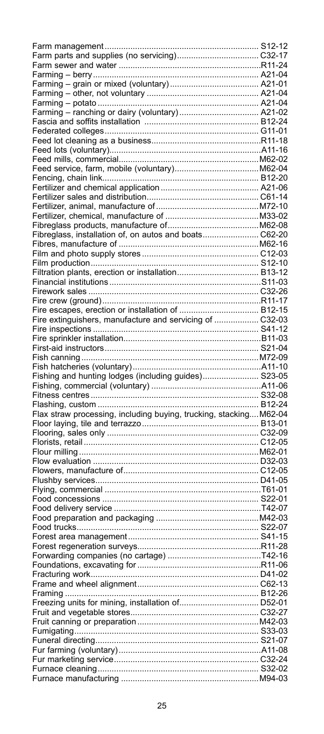| Fibreglass, installation of, on autos and boats C62-20   |  |
|----------------------------------------------------------|--|
|                                                          |  |
|                                                          |  |
|                                                          |  |
|                                                          |  |
|                                                          |  |
|                                                          |  |
|                                                          |  |
|                                                          |  |
| Fire extinguishers, manufacture and servicing of  C32-03 |  |
|                                                          |  |
|                                                          |  |
|                                                          |  |
|                                                          |  |
|                                                          |  |
|                                                          |  |
|                                                          |  |
|                                                          |  |
| Fishing and hunting lodges (including guides) S23-05     |  |
|                                                          |  |
|                                                          |  |
|                                                          |  |
|                                                          |  |
|                                                          |  |
|                                                          |  |
|                                                          |  |
|                                                          |  |
|                                                          |  |
|                                                          |  |
|                                                          |  |
|                                                          |  |
|                                                          |  |
|                                                          |  |
|                                                          |  |
|                                                          |  |
|                                                          |  |
|                                                          |  |
|                                                          |  |
|                                                          |  |
|                                                          |  |
|                                                          |  |
|                                                          |  |
|                                                          |  |
|                                                          |  |
|                                                          |  |
|                                                          |  |
|                                                          |  |
|                                                          |  |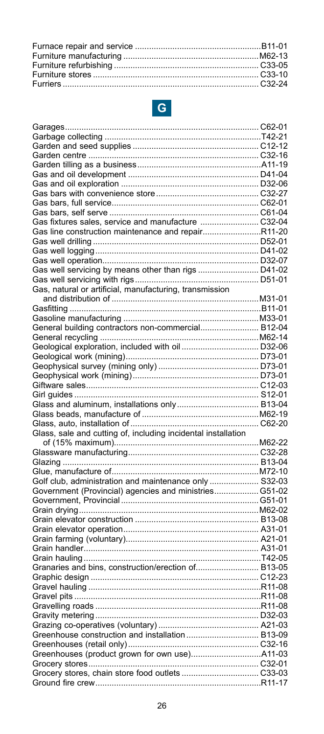# **G**

| Gas fixtures sales, service and manufacture  C32-04                                                              |  |
|------------------------------------------------------------------------------------------------------------------|--|
| Gas line construction maintenance and repairR11-20                                                               |  |
|                                                                                                                  |  |
|                                                                                                                  |  |
|                                                                                                                  |  |
|                                                                                                                  |  |
|                                                                                                                  |  |
| Gas, natural or artificial, manufacturing, transmission                                                          |  |
|                                                                                                                  |  |
|                                                                                                                  |  |
|                                                                                                                  |  |
| General building contractors non-commercial B12-04                                                               |  |
|                                                                                                                  |  |
|                                                                                                                  |  |
|                                                                                                                  |  |
|                                                                                                                  |  |
|                                                                                                                  |  |
|                                                                                                                  |  |
|                                                                                                                  |  |
|                                                                                                                  |  |
|                                                                                                                  |  |
|                                                                                                                  |  |
| Glass, sale and cutting of, including incidental installation                                                    |  |
|                                                                                                                  |  |
|                                                                                                                  |  |
|                                                                                                                  |  |
|                                                                                                                  |  |
| Golf club, administration and maintenance only  S32-03<br>Government (Provincial) agencies and ministries G51-02 |  |
|                                                                                                                  |  |
|                                                                                                                  |  |
|                                                                                                                  |  |
|                                                                                                                  |  |
|                                                                                                                  |  |
|                                                                                                                  |  |
|                                                                                                                  |  |
| Granaries and bins, construction/erection of B13-05                                                              |  |
|                                                                                                                  |  |
|                                                                                                                  |  |
|                                                                                                                  |  |
|                                                                                                                  |  |
|                                                                                                                  |  |
|                                                                                                                  |  |
| Greenhouse construction and installation B13-09                                                                  |  |
|                                                                                                                  |  |
|                                                                                                                  |  |
|                                                                                                                  |  |
|                                                                                                                  |  |
|                                                                                                                  |  |
|                                                                                                                  |  |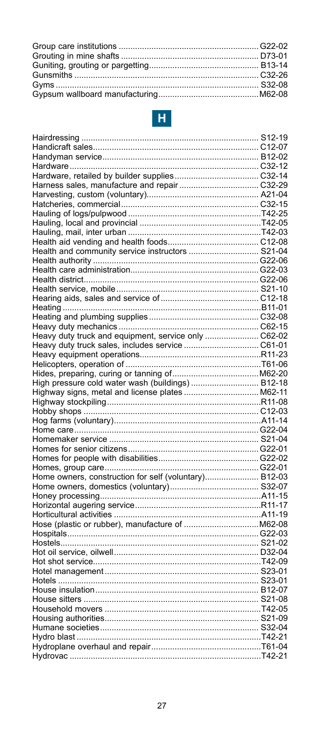

| Harness sales, manufacture and repair  C32-29         |  |
|-------------------------------------------------------|--|
|                                                       |  |
|                                                       |  |
|                                                       |  |
|                                                       |  |
|                                                       |  |
|                                                       |  |
| Health and community service instructors  S21-04      |  |
|                                                       |  |
|                                                       |  |
|                                                       |  |
|                                                       |  |
|                                                       |  |
|                                                       |  |
|                                                       |  |
|                                                       |  |
| Heavy duty truck and equipment, service only  C62-02  |  |
|                                                       |  |
|                                                       |  |
|                                                       |  |
|                                                       |  |
| High pressure cold water wash (buildings)  B12-18     |  |
| Highway signs, metal and license plates  M62-11       |  |
|                                                       |  |
|                                                       |  |
|                                                       |  |
|                                                       |  |
|                                                       |  |
|                                                       |  |
|                                                       |  |
|                                                       |  |
| Home owners, construction for self (voluntary) B12-03 |  |
|                                                       |  |
|                                                       |  |
|                                                       |  |
|                                                       |  |
|                                                       |  |
|                                                       |  |
|                                                       |  |
|                                                       |  |
|                                                       |  |
|                                                       |  |
|                                                       |  |
|                                                       |  |
|                                                       |  |
|                                                       |  |
|                                                       |  |
|                                                       |  |
|                                                       |  |
|                                                       |  |
|                                                       |  |
|                                                       |  |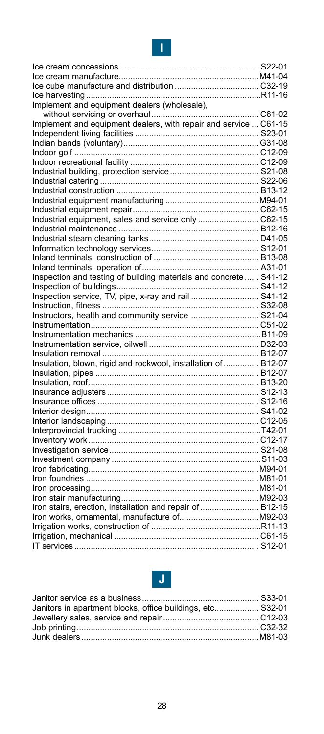### **I**

| Implement and equipment dealers (wholesale),                     |  |
|------------------------------------------------------------------|--|
|                                                                  |  |
| Implement and equipment dealers, with repair and service  C61-15 |  |
|                                                                  |  |
|                                                                  |  |
|                                                                  |  |
|                                                                  |  |
|                                                                  |  |
|                                                                  |  |
|                                                                  |  |
|                                                                  |  |
|                                                                  |  |
|                                                                  |  |
|                                                                  |  |
|                                                                  |  |
|                                                                  |  |
|                                                                  |  |
|                                                                  |  |
| Inspection and testing of building materials and concrete S41-12 |  |
|                                                                  |  |
| Inspection service, TV, pipe, x-ray and rail  S41-12             |  |
|                                                                  |  |
| Instructors, health and community service  S21-04                |  |
|                                                                  |  |
|                                                                  |  |
|                                                                  |  |
|                                                                  |  |
| Insulation, blown, rigid and rockwool, installation of  B12-07   |  |
|                                                                  |  |
|                                                                  |  |
|                                                                  |  |
|                                                                  |  |
|                                                                  |  |
|                                                                  |  |
|                                                                  |  |
|                                                                  |  |
|                                                                  |  |
|                                                                  |  |
|                                                                  |  |
|                                                                  |  |
|                                                                  |  |
|                                                                  |  |
| Iron stairs, erection, installation and repair of  B12-15        |  |
|                                                                  |  |
|                                                                  |  |
|                                                                  |  |
|                                                                  |  |



| Janitors in apartment blocks, office buildings, etc S32-01 |  |
|------------------------------------------------------------|--|
|                                                            |  |
|                                                            |  |
|                                                            |  |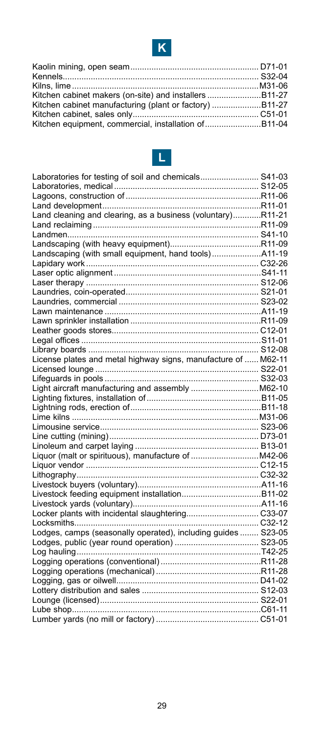



| Laboratories for testing of soil and chemicals S41-03          |  |
|----------------------------------------------------------------|--|
|                                                                |  |
|                                                                |  |
|                                                                |  |
| Land cleaning and clearing, as a business (voluntary)R11-21    |  |
|                                                                |  |
|                                                                |  |
|                                                                |  |
|                                                                |  |
|                                                                |  |
|                                                                |  |
|                                                                |  |
|                                                                |  |
|                                                                |  |
|                                                                |  |
|                                                                |  |
|                                                                |  |
|                                                                |  |
|                                                                |  |
| License plates and metal highway signs, manufacture of  M62-11 |  |
|                                                                |  |
|                                                                |  |
| Light aircraft manufacturing and assembly  M62-10              |  |
|                                                                |  |
|                                                                |  |
|                                                                |  |
|                                                                |  |
|                                                                |  |
|                                                                |  |
|                                                                |  |
|                                                                |  |
|                                                                |  |
|                                                                |  |
|                                                                |  |
|                                                                |  |
|                                                                |  |
|                                                                |  |
| Lodges, camps (seasonally operated), including guides  S23-05  |  |
|                                                                |  |
|                                                                |  |
|                                                                |  |
|                                                                |  |
|                                                                |  |
|                                                                |  |
|                                                                |  |
|                                                                |  |
|                                                                |  |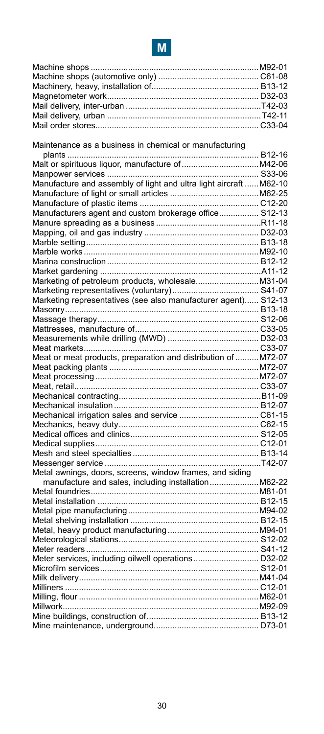

| Maintenance as a business in chemical or manufacturing             |  |
|--------------------------------------------------------------------|--|
|                                                                    |  |
|                                                                    |  |
|                                                                    |  |
| Manufacture and assembly of light and ultra light aircraft  M62-10 |  |
|                                                                    |  |
|                                                                    |  |
| Manufacturers agent and custom brokerage office S12-13             |  |
|                                                                    |  |
|                                                                    |  |
|                                                                    |  |
|                                                                    |  |
|                                                                    |  |
|                                                                    |  |
| Marketing of petroleum products, wholesale M31-04                  |  |
|                                                                    |  |
|                                                                    |  |
|                                                                    |  |
|                                                                    |  |
|                                                                    |  |
|                                                                    |  |
|                                                                    |  |
| Meat or meat products, preparation and distribution of  M72-07     |  |
|                                                                    |  |
|                                                                    |  |
|                                                                    |  |
|                                                                    |  |
|                                                                    |  |
|                                                                    |  |
|                                                                    |  |
|                                                                    |  |
|                                                                    |  |
|                                                                    |  |
|                                                                    |  |
| Metal awnings, doors, screens, window frames, and siding           |  |
| manufacture and sales, including installation M62-22               |  |
|                                                                    |  |
|                                                                    |  |
|                                                                    |  |
|                                                                    |  |
|                                                                    |  |
|                                                                    |  |
|                                                                    |  |
| Meter services, including oilwell operations D32-02                |  |
|                                                                    |  |
|                                                                    |  |
|                                                                    |  |
|                                                                    |  |
|                                                                    |  |
|                                                                    |  |
|                                                                    |  |
|                                                                    |  |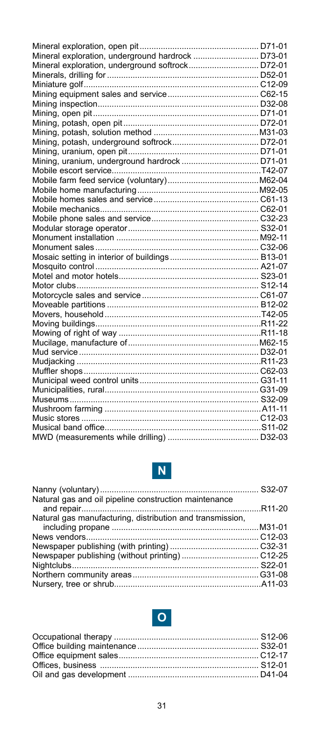| Mineral exploration, underground hardrock  D73-01 |  |
|---------------------------------------------------|--|
| Mineral exploration, underground softrock D72-01  |  |
|                                                   |  |
|                                                   |  |
|                                                   |  |
|                                                   |  |
|                                                   |  |
|                                                   |  |
|                                                   |  |
|                                                   |  |
|                                                   |  |
|                                                   |  |
|                                                   |  |
|                                                   |  |
|                                                   |  |
|                                                   |  |
|                                                   |  |
|                                                   |  |
|                                                   |  |
|                                                   |  |
|                                                   |  |
|                                                   |  |
|                                                   |  |
|                                                   |  |
|                                                   |  |
|                                                   |  |
|                                                   |  |
|                                                   |  |
|                                                   |  |
|                                                   |  |
|                                                   |  |
|                                                   |  |
|                                                   |  |
|                                                   |  |
|                                                   |  |
|                                                   |  |
|                                                   |  |
|                                                   |  |
|                                                   |  |
|                                                   |  |
|                                                   |  |



| Natural gas and oil pipeline construction maintenance     |  |
|-----------------------------------------------------------|--|
|                                                           |  |
| Natural gas manufacturing, distribution and transmission, |  |
|                                                           |  |
|                                                           |  |
|                                                           |  |
|                                                           |  |
|                                                           |  |
|                                                           |  |
|                                                           |  |
|                                                           |  |

# **O**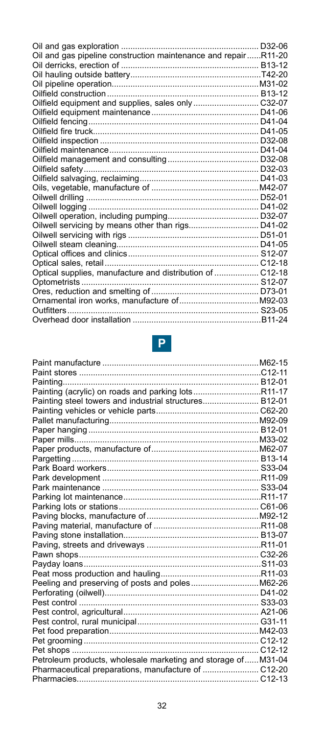| Oil and gas pipeline construction maintenance and repairR11-20 |  |
|----------------------------------------------------------------|--|
|                                                                |  |
|                                                                |  |
|                                                                |  |
|                                                                |  |
| Oilfield equipment and supplies, sales only  C32-07            |  |
|                                                                |  |
|                                                                |  |
|                                                                |  |
|                                                                |  |
|                                                                |  |
|                                                                |  |
|                                                                |  |
|                                                                |  |
|                                                                |  |
|                                                                |  |
|                                                                |  |
|                                                                |  |
|                                                                |  |
|                                                                |  |
|                                                                |  |
|                                                                |  |
|                                                                |  |
| Optical supplies, manufacture and distribution of  C12-18      |  |
|                                                                |  |
|                                                                |  |
|                                                                |  |
|                                                                |  |
|                                                                |  |

# **P**

| Painting (acrylic) on roads and parking lotsR11-17            |  |
|---------------------------------------------------------------|--|
| Painting steel towers and industrial structures B12-01        |  |
|                                                               |  |
|                                                               |  |
|                                                               |  |
|                                                               |  |
|                                                               |  |
|                                                               |  |
|                                                               |  |
|                                                               |  |
|                                                               |  |
|                                                               |  |
|                                                               |  |
|                                                               |  |
|                                                               |  |
|                                                               |  |
|                                                               |  |
|                                                               |  |
|                                                               |  |
|                                                               |  |
| Peeling and preserving of posts and poles M62-26              |  |
|                                                               |  |
|                                                               |  |
|                                                               |  |
|                                                               |  |
|                                                               |  |
|                                                               |  |
|                                                               |  |
| Petroleum products, wholesale marketing and storage of M31-04 |  |
|                                                               |  |
|                                                               |  |
|                                                               |  |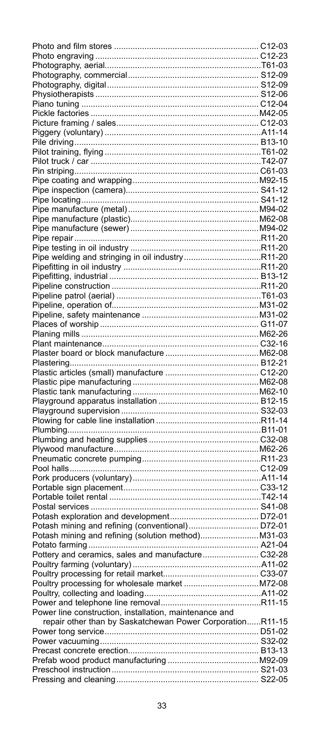| Pipe welding and stringing in oil industryR11-20                                                       |  |
|--------------------------------------------------------------------------------------------------------|--|
|                                                                                                        |  |
|                                                                                                        |  |
|                                                                                                        |  |
|                                                                                                        |  |
|                                                                                                        |  |
|                                                                                                        |  |
|                                                                                                        |  |
|                                                                                                        |  |
|                                                                                                        |  |
|                                                                                                        |  |
|                                                                                                        |  |
|                                                                                                        |  |
|                                                                                                        |  |
|                                                                                                        |  |
|                                                                                                        |  |
|                                                                                                        |  |
|                                                                                                        |  |
|                                                                                                        |  |
|                                                                                                        |  |
|                                                                                                        |  |
|                                                                                                        |  |
|                                                                                                        |  |
|                                                                                                        |  |
|                                                                                                        |  |
|                                                                                                        |  |
|                                                                                                        |  |
|                                                                                                        |  |
|                                                                                                        |  |
|                                                                                                        |  |
| Potash mining and refining (conventional) D72-01<br>Potash mining and refining (solution method)N31-03 |  |
|                                                                                                        |  |
|                                                                                                        |  |
|                                                                                                        |  |
|                                                                                                        |  |
|                                                                                                        |  |
|                                                                                                        |  |
| Power line construction, installation, maintenance and                                                 |  |
| repair other than by Saskatchewan Power CorporationR11-15                                              |  |
|                                                                                                        |  |
|                                                                                                        |  |
|                                                                                                        |  |
|                                                                                                        |  |
|                                                                                                        |  |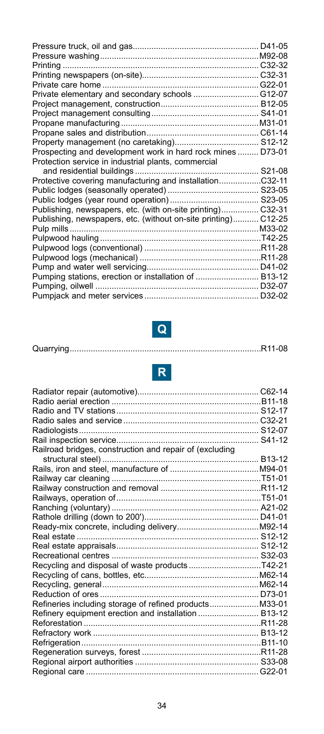| Private elementary and secondary schools  G12-07               |  |
|----------------------------------------------------------------|--|
|                                                                |  |
|                                                                |  |
|                                                                |  |
|                                                                |  |
|                                                                |  |
| Prospecting and development work in hard rock mines  D73-01    |  |
| Protection service in industrial plants, commercial            |  |
|                                                                |  |
| Protective covering manufacturing and installationC32-11       |  |
|                                                                |  |
|                                                                |  |
| Publishing, newspapers, etc. (with on-site printing) C32-31    |  |
| Publishing, newspapers, etc. (without on-site printing) C12-25 |  |
|                                                                |  |
|                                                                |  |
|                                                                |  |
|                                                                |  |
|                                                                |  |
| Pumping stations, erection or installation of  B13-12          |  |
|                                                                |  |
|                                                                |  |



|--|--|--|--|--|--|



| Railroad bridges, construction and repair of (excluding |  |
|---------------------------------------------------------|--|
|                                                         |  |
|                                                         |  |
|                                                         |  |
|                                                         |  |
|                                                         |  |
|                                                         |  |
|                                                         |  |
|                                                         |  |
|                                                         |  |
|                                                         |  |
|                                                         |  |
|                                                         |  |
|                                                         |  |
|                                                         |  |
|                                                         |  |
| Refineries including storage of refined products M33-01 |  |
| Refinery equipment erection and installation  B13-12    |  |
|                                                         |  |
|                                                         |  |
|                                                         |  |
|                                                         |  |
|                                                         |  |
|                                                         |  |
|                                                         |  |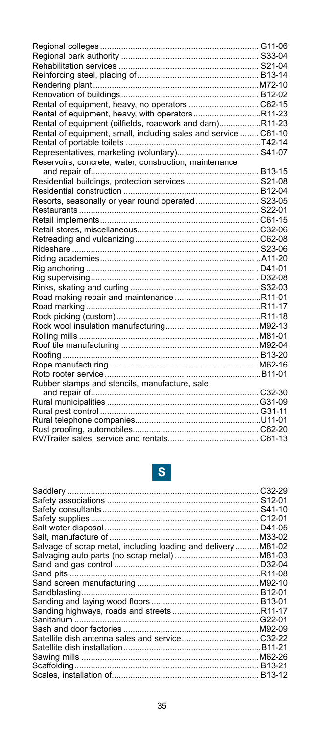| Rental of equipment, heavy, with operatorsR11-23                |  |
|-----------------------------------------------------------------|--|
| Rental of equipment (oilfields, roadwork and dam)R11-23         |  |
| Rental of equipment, small, including sales and service  C61-10 |  |
|                                                                 |  |
|                                                                 |  |
| Reservoirs, concrete, water, construction, maintenance          |  |
|                                                                 |  |
| Residential buildings, protection services  S21-08              |  |
|                                                                 |  |
| Resorts, seasonally or year round operated S23-05               |  |
|                                                                 |  |
|                                                                 |  |
|                                                                 |  |
|                                                                 |  |
|                                                                 |  |
|                                                                 |  |
|                                                                 |  |
|                                                                 |  |
|                                                                 |  |
|                                                                 |  |
|                                                                 |  |
|                                                                 |  |
|                                                                 |  |
|                                                                 |  |
|                                                                 |  |
|                                                                 |  |
|                                                                 |  |
|                                                                 |  |
| Rubber stamps and stencils, manufacture, sale                   |  |
|                                                                 |  |
|                                                                 |  |
|                                                                 |  |
|                                                                 |  |
|                                                                 |  |
|                                                                 |  |

# **S**

|                                                              | C <sub>32</sub> -29 |
|--------------------------------------------------------------|---------------------|
|                                                              |                     |
|                                                              |                     |
|                                                              |                     |
|                                                              | D41-05              |
|                                                              |                     |
| Salvage of scrap metal, including loading and deliveryM81-02 |                     |
|                                                              |                     |
|                                                              |                     |
|                                                              |                     |
|                                                              |                     |
|                                                              |                     |
|                                                              |                     |
|                                                              |                     |
|                                                              |                     |
|                                                              |                     |
|                                                              |                     |
|                                                              |                     |
|                                                              |                     |
|                                                              |                     |
|                                                              |                     |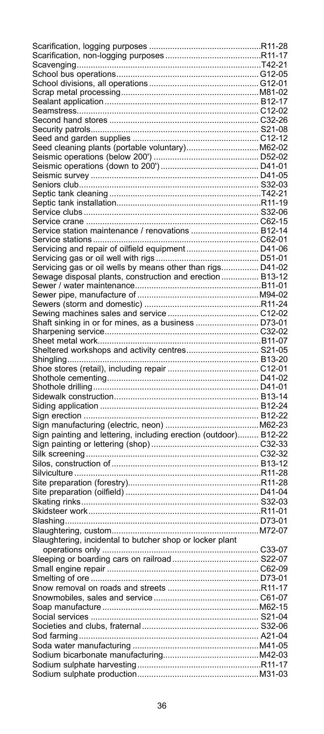| Seed cleaning plants (portable voluntary)M62-02                  |        |
|------------------------------------------------------------------|--------|
|                                                                  |        |
|                                                                  |        |
|                                                                  |        |
|                                                                  |        |
|                                                                  |        |
|                                                                  |        |
|                                                                  |        |
|                                                                  |        |
|                                                                  |        |
|                                                                  |        |
|                                                                  |        |
| Service station maintenance / renovations  B12-14                |        |
|                                                                  |        |
|                                                                  |        |
|                                                                  |        |
|                                                                  |        |
|                                                                  |        |
|                                                                  |        |
| Sewage disposal plants, construction and erection  B13-12        |        |
|                                                                  |        |
|                                                                  |        |
|                                                                  |        |
|                                                                  |        |
|                                                                  |        |
|                                                                  |        |
| Shaft sinking in or for mines, as a business  D73-01             |        |
|                                                                  |        |
|                                                                  |        |
|                                                                  |        |
| Sheltered workshops and activity centres S21-05                  |        |
|                                                                  |        |
|                                                                  |        |
|                                                                  |        |
|                                                                  |        |
|                                                                  |        |
|                                                                  |        |
|                                                                  |        |
|                                                                  |        |
|                                                                  |        |
|                                                                  |        |
|                                                                  |        |
|                                                                  |        |
|                                                                  |        |
| Sign painting and lettering, including erection (outdoor) B12-22 |        |
|                                                                  |        |
|                                                                  |        |
|                                                                  |        |
|                                                                  |        |
|                                                                  |        |
|                                                                  |        |
|                                                                  |        |
|                                                                  |        |
|                                                                  |        |
|                                                                  |        |
|                                                                  |        |
|                                                                  |        |
|                                                                  |        |
|                                                                  |        |
|                                                                  |        |
| Slaughtering, incidental to butcher shop or locker plant         |        |
|                                                                  |        |
|                                                                  |        |
|                                                                  |        |
|                                                                  |        |
|                                                                  | D73-01 |
|                                                                  |        |
|                                                                  |        |
|                                                                  |        |
|                                                                  |        |
|                                                                  |        |
|                                                                  |        |
|                                                                  |        |
|                                                                  |        |
|                                                                  |        |
|                                                                  |        |
|                                                                  |        |
|                                                                  |        |
|                                                                  |        |
|                                                                  |        |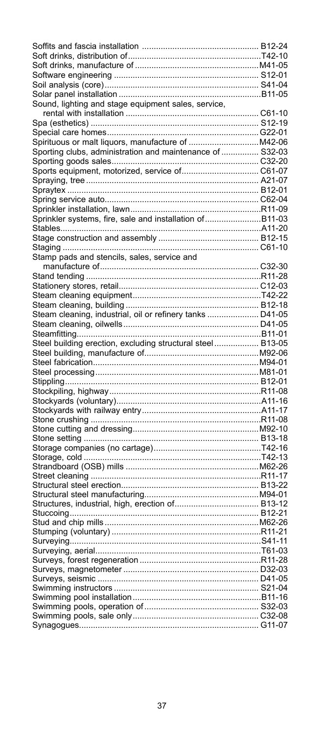| Sound, lighting and stage equipment sales, service,          |  |
|--------------------------------------------------------------|--|
|                                                              |  |
|                                                              |  |
|                                                              |  |
|                                                              |  |
|                                                              |  |
| -printerial clubs, administration and maintenance of  S32-03 |  |
|                                                              |  |
|                                                              |  |
|                                                              |  |
|                                                              |  |
|                                                              |  |
|                                                              |  |
|                                                              |  |
| Sprinkler systems, fire, sale and installation ofB11-03      |  |
|                                                              |  |
|                                                              |  |
|                                                              |  |
| Stamp pads and stencils, sales, service and                  |  |
|                                                              |  |
|                                                              |  |
|                                                              |  |
|                                                              |  |
|                                                              |  |
|                                                              |  |
| Steam cleaning, industrial, oil or refinery tanks  D41-05    |  |
|                                                              |  |
|                                                              |  |
|                                                              |  |
|                                                              |  |
| Steel building erection, excluding structural steel B13-05   |  |
|                                                              |  |
|                                                              |  |
|                                                              |  |
|                                                              |  |
|                                                              |  |
|                                                              |  |
|                                                              |  |
|                                                              |  |
|                                                              |  |
|                                                              |  |
|                                                              |  |
|                                                              |  |
|                                                              |  |
|                                                              |  |
|                                                              |  |
|                                                              |  |
|                                                              |  |
|                                                              |  |
|                                                              |  |
|                                                              |  |
|                                                              |  |
|                                                              |  |
|                                                              |  |
|                                                              |  |
|                                                              |  |
|                                                              |  |
|                                                              |  |
|                                                              |  |
|                                                              |  |
|                                                              |  |
|                                                              |  |
|                                                              |  |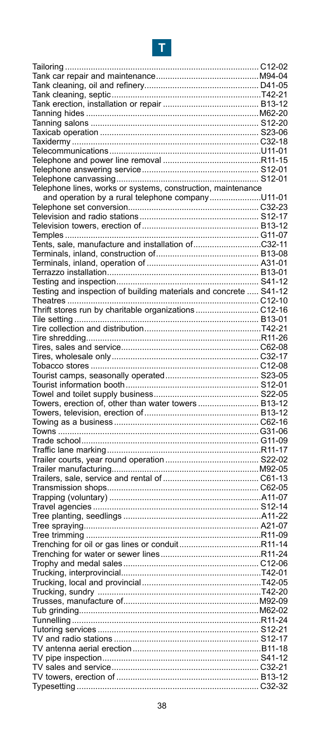# **T**

| Telephone lines, works or systems, construction, maintenance      |  |
|-------------------------------------------------------------------|--|
| and operation by a rural telephone companyU11-01                  |  |
|                                                                   |  |
|                                                                   |  |
|                                                                   |  |
|                                                                   |  |
|                                                                   |  |
| Tents, sale, manufacture and installation ofC32-11                |  |
|                                                                   |  |
|                                                                   |  |
|                                                                   |  |
|                                                                   |  |
| Testing and inspection of building materials and concrete  S41-12 |  |
|                                                                   |  |
|                                                                   |  |
| Thrift stores run by charitable organizations  C12-16             |  |
|                                                                   |  |
|                                                                   |  |
|                                                                   |  |
|                                                                   |  |
|                                                                   |  |
|                                                                   |  |
|                                                                   |  |
|                                                                   |  |
|                                                                   |  |
|                                                                   |  |
|                                                                   |  |
|                                                                   |  |
|                                                                   |  |
|                                                                   |  |
|                                                                   |  |
|                                                                   |  |
|                                                                   |  |
|                                                                   |  |
|                                                                   |  |
|                                                                   |  |
|                                                                   |  |
|                                                                   |  |
|                                                                   |  |
|                                                                   |  |
|                                                                   |  |
|                                                                   |  |
|                                                                   |  |
|                                                                   |  |
|                                                                   |  |
|                                                                   |  |
|                                                                   |  |
|                                                                   |  |
|                                                                   |  |
|                                                                   |  |
|                                                                   |  |
|                                                                   |  |
|                                                                   |  |
|                                                                   |  |
|                                                                   |  |
|                                                                   |  |
|                                                                   |  |
|                                                                   |  |
|                                                                   |  |
|                                                                   |  |
|                                                                   |  |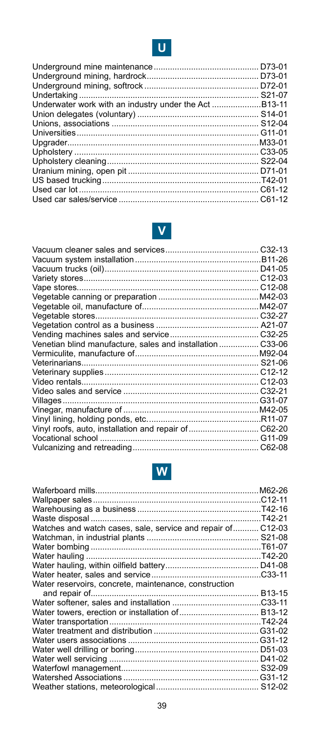

| D72-01 |  |
|--------|--|
|        |  |
|        |  |
| S21-07 |  |
|        |  |
|        |  |
|        |  |
|        |  |
| M33-01 |  |
|        |  |
|        |  |
|        |  |
|        |  |
|        |  |
|        |  |

# **V**

| Venetian blind manufacture, sales and installation C33-06 |  |
|-----------------------------------------------------------|--|
|                                                           |  |
|                                                           |  |
|                                                           |  |
|                                                           |  |
|                                                           |  |
|                                                           |  |
|                                                           |  |
|                                                           |  |
| Vinyl roofs, auto, installation and repair of  C62-20     |  |
|                                                           |  |
|                                                           |  |



| Watches and watch cases, sale, service and repair of C12-03 |  |
|-------------------------------------------------------------|--|
|                                                             |  |
|                                                             |  |
|                                                             |  |
|                                                             |  |
|                                                             |  |
| Water reservoirs, concrete, maintenance, construction       |  |
|                                                             |  |
|                                                             |  |
|                                                             |  |
|                                                             |  |
|                                                             |  |
|                                                             |  |
|                                                             |  |
|                                                             |  |
|                                                             |  |
|                                                             |  |
|                                                             |  |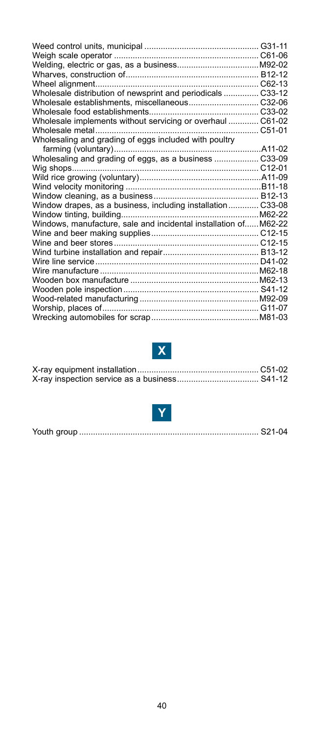| Wholesale distribution of newsprint and periodicals  C33-12     |  |
|-----------------------------------------------------------------|--|
|                                                                 |  |
|                                                                 |  |
| Wholesale implements without servicing or overhaul  C61-02      |  |
|                                                                 |  |
| Wholesaling and grading of eggs included with poultry           |  |
|                                                                 |  |
| Wholesaling and grading of eggs, as a business  C33-09          |  |
|                                                                 |  |
|                                                                 |  |
|                                                                 |  |
|                                                                 |  |
| Window drapes, as a business, including installation C33-08     |  |
|                                                                 |  |
| Windows, manufacture, sale and incidental installation ofM62-22 |  |
|                                                                 |  |
|                                                                 |  |
|                                                                 |  |
|                                                                 |  |
|                                                                 |  |
|                                                                 |  |
|                                                                 |  |
|                                                                 |  |
|                                                                 |  |
|                                                                 |  |

# **X**



|--|--|--|--|--|--|